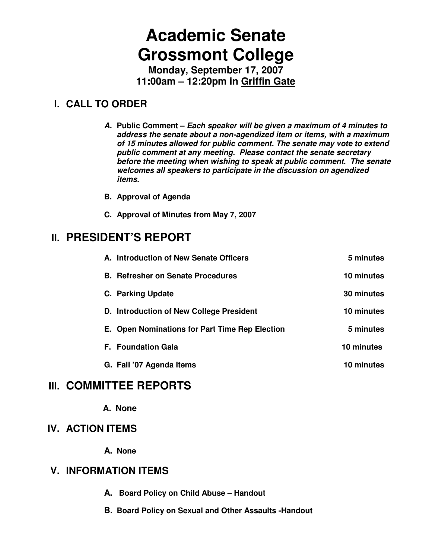# **Academic Senate Grossmont College**

**Monday, September 17, 2007 11:00am – 12:20pm in Griffin Gate**

## **I. CALL TO ORDER**

- **A. Public Comment Each speaker will be given a maximum of 4 minutes to address the senate about a non-agendized item or items, with a maximum of 15 minutes allowed for public comment. The senate may vote to extend public comment at any meeting. Please contact the senate secretary before the meeting when wishing to speak at public comment. The senate welcomes all speakers to participate in the discussion on agendized items.**
- **B. Approval of Agenda**
- **C. Approval of Minutes from May 7, 2007**

## **II. PRESIDENT'S REPORT**

| A. Introduction of New Senate Officers         | 5 minutes  |
|------------------------------------------------|------------|
| <b>B. Refresher on Senate Procedures</b>       | 10 minutes |
| C. Parking Update                              | 30 minutes |
| D. Introduction of New College President       | 10 minutes |
| E. Open Nominations for Part Time Rep Election | 5 minutes  |
| <b>F.</b> Foundation Gala                      | 10 minutes |
| G. Fall '07 Agenda Items                       | 10 minutes |

## **III. COMMITTEE REPORTS**

**A. None** 

### **IV. ACTION ITEMS**

**A. None** 

## **V. INFORMATION ITEMS**

- **A. Board Policy on Child Abuse Handout**
- **B. Board Policy on Sexual and Other Assaults -Handout**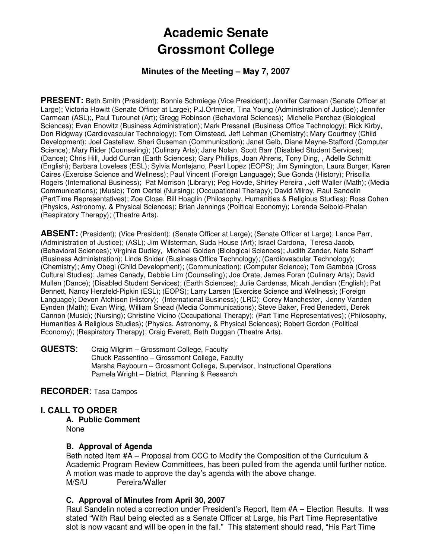## **Academic Senate Grossmont College**

#### **Minutes of the Meeting – May 7, 2007**

**PRESENT:** Beth Smith (President); Bonnie Schmiege (Vice President); Jennifer Carmean (Senate Officer at Large); Victoria Howitt (Senate Officer at Large); P.J.Ortmeier, Tina Young (Administration of Justice); Jennifer Carmean (ASL);, Paul Turounet (Art); Gregg Robinson (Behavioral Sciences); Michelle Perchez (Biological Sciences); Evan Enowitz (Business Administration); Mark Pressnall (Business Office Technology); Rick Kirby, Don Ridgway (Cardiovascular Technology); Tom Olmstead, Jeff Lehman (Chemistry); Mary Courtney (Child Development); Joel Castellaw, Sheri Guseman (Communication); Janet Gelb, Diane Mayne-Stafford (Computer Science); Mary Rider (Counseling); (Culinary Arts); Jane Nolan, Scott Barr (Disabled Student Services); (Dance); Chris Hill, Judd Curran (Earth Sciences); Gary Phillips, Joan Ahrens, Tony Ding, , Adelle Schmitt (English); Barbara Loveless (ESL); Sylvia Montejano, Pearl Lopez (EOPS); Jim Symington, Laura Burger, Karen Caires (Exercise Science and Wellness); Paul Vincent (Foreign Language); Sue Gonda (History); Priscilla Rogers (International Business); Pat Morrison (Library); Peg Hovde, Shirley Pereira , Jeff Waller (Math); (Media Communications); (Music); Tom Oertel (Nursing); (Occupational Therapy); David Milroy, Raul Sandelin (PartTime Representatives); Zoe Close, Bill Hoaglin (Philosophy, Humanities & Religious Studies); Ross Cohen (Physics, Astronomy, & Physical Sciences); Brian Jennings (Political Economy); Lorenda Seibold-Phalan (Respiratory Therapy); (Theatre Arts).

**ABSENT:** (President); (Vice President); (Senate Officer at Large); (Senate Officer at Large); Lance Parr, (Administration of Justice); (ASL); Jim Wilsterman, Suda House (Art); Israel Cardona, Teresa Jacob, (Behavioral Sciences); Virginia Dudley, Michael Golden (Biological Sciences); Judith Zander, Nate Scharff (Business Administration); Linda Snider (Business Office Technology); (Cardiovascular Technology); (Chemistry); Amy Obegi (Child Development); (Communication); (Computer Science); Tom Gamboa (Cross Cultural Studies); James Canady, Debbie Lim (Counseling); Joe Orate, James Foran (Culinary Arts); David Mullen (Dance); (Disabled Student Services); (Earth Sciences); Julie Cardenas, Micah Jendian (English); Pat Bennett, Nancy Herzfeld-Pipkin (ESL); (EOPS); Larry Larsen (Exercise Science and Wellness); (Foreign Language); Devon Atchison (History); (International Business); (LRC); Corey Manchester, Jenny Vanden Eynden (Math); Evan Wirig, William Snead (Media Communications); Steve Baker, Fred Benedetti, Derek Cannon (Music); (Nursing); Christine Vicino (Occupational Therapy); (Part Time Representatives); (Philosophy, Humanities & Religious Studies); (Physics, Astronomy, & Physical Sciences); Robert Gordon (Political Economy); (Respiratory Therapy); Craig Everett, Beth Duggan (Theatre Arts).

**GUESTS**: Craig Milgrim – Grossmont College, Faculty Chuck Passentino – Grossmont College, Faculty Marsha Raybourn – Grossmont College, Supervisor, Instructional Operations Pamela Wright – District, Planning & Research

**RECORDER**: Tasa Campos

#### **I. CALL TO ORDER**

**A. Public Comment**  None

#### **B. Approval of Agenda**

Beth noted Item #A – Proposal from CCC to Modify the Composition of the Curriculum & Academic Program Review Committees, has been pulled from the agenda until further notice. A motion was made to approve the day's agenda with the above change.<br>M/S/U Pereira/Waller Pereira/Waller

#### **C. Approval of Minutes from April 30, 2007**

Raul Sandelin noted a correction under President's Report, Item #A – Election Results. It was stated "With Raul being elected as a Senate Officer at Large, his Part Time Representative slot is now vacant and will be open in the fall." This statement should read, "His Part Time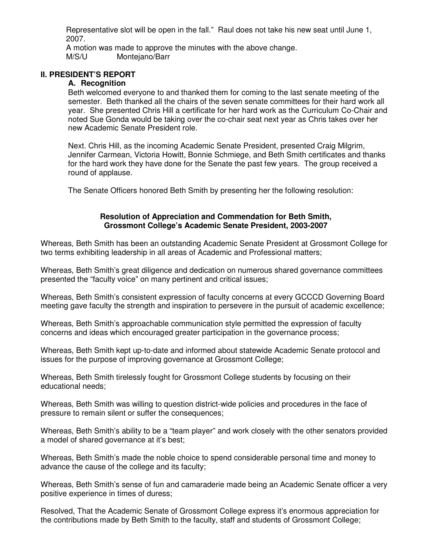Representative slot will be open in the fall." Raul does not take his new seat until June 1, 2007.

A motion was made to approve the minutes with the above change. M/S/U Montejano/Barr

#### **II. PRESIDENT'S REPORT**

#### **A. Recognition**

Beth welcomed everyone to and thanked them for coming to the last senate meeting of the semester. Beth thanked all the chairs of the seven senate committees for their hard work all year. She presented Chris Hill a certificate for her hard work as the Curriculum Co-Chair and noted Sue Gonda would be taking over the co-chair seat next year as Chris takes over her new Academic Senate President role.

Next. Chris Hill, as the incoming Academic Senate President, presented Craig Milgrim, Jennifer Carmean, Victoria Howitt, Bonnie Schmiege, and Beth Smith certificates and thanks for the hard work they have done for the Senate the past few years. The group received a round of applause.

The Senate Officers honored Beth Smith by presenting her the following resolution:

#### **Resolution of Appreciation and Commendation for Beth Smith, Grossmont College's Academic Senate President, 2003-2007**

Whereas, Beth Smith has been an outstanding Academic Senate President at Grossmont College for two terms exhibiting leadership in all areas of Academic and Professional matters;

Whereas, Beth Smith's great diligence and dedication on numerous shared governance committees presented the "faculty voice" on many pertinent and critical issues;

Whereas, Beth Smith's consistent expression of faculty concerns at every GCCCD Governing Board meeting gave faculty the strength and inspiration to persevere in the pursuit of academic excellence;

Whereas, Beth Smith's approachable communication style permitted the expression of faculty concerns and ideas which encouraged greater participation in the governance process;

Whereas, Beth Smith kept up-to-date and informed about statewide Academic Senate protocol and issues for the purpose of improving governance at Grossmont College;

Whereas, Beth Smith tirelessly fought for Grossmont College students by focusing on their educational needs;

Whereas, Beth Smith was willing to question district-wide policies and procedures in the face of pressure to remain silent or suffer the consequences;

Whereas, Beth Smith's ability to be a "team player" and work closely with the other senators provided a model of shared governance at it's best;

Whereas, Beth Smith's made the noble choice to spend considerable personal time and money to advance the cause of the college and its faculty;

Whereas, Beth Smith's sense of fun and camaraderie made being an Academic Senate officer a very positive experience in times of duress;

Resolved, That the Academic Senate of Grossmont College express it's enormous appreciation for the contributions made by Beth Smith to the faculty, staff and students of Grossmont College;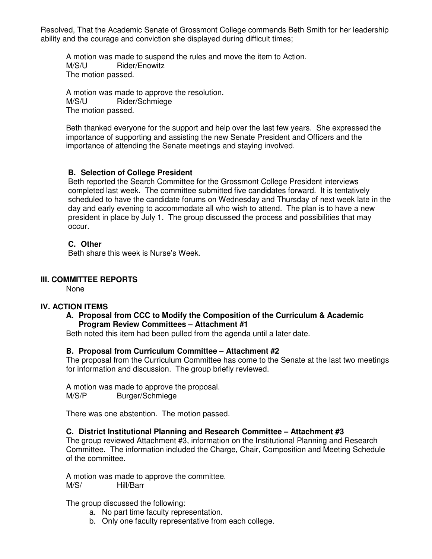Resolved, That the Academic Senate of Grossmont College commends Beth Smith for her leadership ability and the courage and conviction she displayed during difficult times;

 A motion was made to suspend the rules and move the item to Action. M/S/U Rider/Enowitz The motion passed.

A motion was made to approve the resolution.<br>M/S/U Bider/Schmiege Rider/Schmiege The motion passed.

Beth thanked everyone for the support and help over the last few years. She expressed the importance of supporting and assisting the new Senate President and Officers and the importance of attending the Senate meetings and staying involved.

#### **B. Selection of College President**

Beth reported the Search Committee for the Grossmont College President interviews completed last week. The committee submitted five candidates forward. It is tentatively scheduled to have the candidate forums on Wednesday and Thursday of next week late in the day and early evening to accommodate all who wish to attend. The plan is to have a new president in place by July 1. The group discussed the process and possibilities that may occur.

#### **C. Other**

Beth share this week is Nurse's Week.

#### **III. COMMITTEE REPORTS**

None

#### **IV. ACTION ITEMS**

#### **A. Proposal from CCC to Modify the Composition of the Curriculum & Academic Program Review Committees – Attachment #1**

Beth noted this item had been pulled from the agenda until a later date.

#### **B. Proposal from Curriculum Committee – Attachment #2**

The proposal from the Curriculum Committee has come to the Senate at the last two meetings for information and discussion. The group briefly reviewed.

A motion was made to approve the proposal. M/S/P Burger/Schmiege

There was one abstention. The motion passed.

#### **C. District Institutional Planning and Research Committee – Attachment #3**

The group reviewed Attachment #3, information on the Institutional Planning and Research Committee. The information included the Charge, Chair, Composition and Meeting Schedule of the committee.

A motion was made to approve the committee. M/S/ Hill/Barr

The group discussed the following:

- a. No part time faculty representation.
- b. Only one faculty representative from each college.